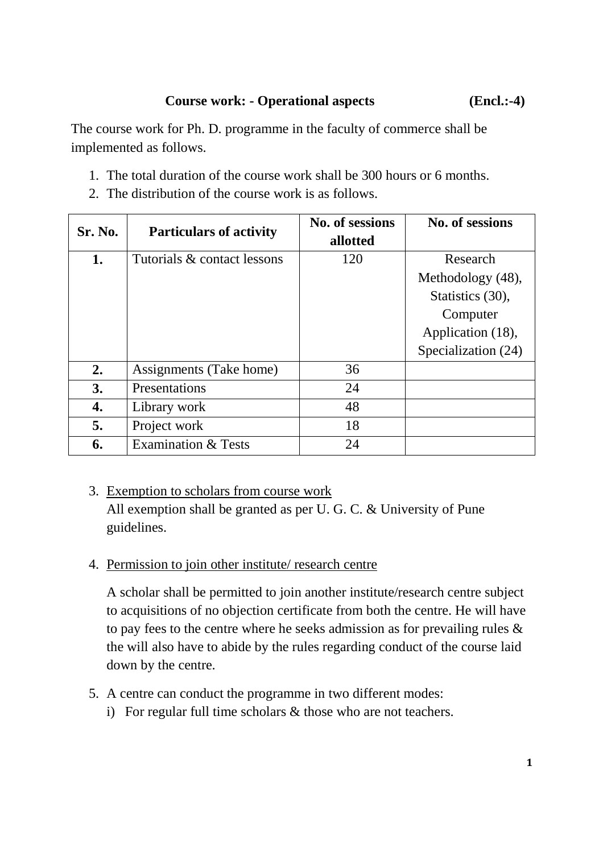The course work for Ph. D. programme in the faculty of commerce shall be implemented as follows.

- 1. The total duration of the course work shall be 300 hours or 6 months.
- 2. The distribution of the course work is as follows.

| Sr. No. | <b>Particulars of activity</b> | No. of sessions<br>allotted | No. of sessions                                                                                           |
|---------|--------------------------------|-----------------------------|-----------------------------------------------------------------------------------------------------------|
| 1.      | Tutorials & contact lessons    | 120                         | Research<br>Methodology (48),<br>Statistics (30),<br>Computer<br>Application (18),<br>Specialization (24) |
| 2.      | Assignments (Take home)        | 36                          |                                                                                                           |
| 3.      | Presentations                  | 24                          |                                                                                                           |
| 4.      | Library work                   | 48                          |                                                                                                           |
| 5.      | Project work                   | 18                          |                                                                                                           |
| 6.      | <b>Examination &amp; Tests</b> | 24                          |                                                                                                           |

- 3. Exemption to scholars from course work All exemption shall be granted as per U. G. C. & University of Pune guidelines.
- 4. Permission to join other institute/ research centre

A scholar shall be permitted to join another institute/research centre subject to acquisitions of no objection certificate from both the centre. He will have to pay fees to the centre where he seeks admission as for prevailing rules & the will also have to abide by the rules regarding conduct of the course laid down by the centre.

- 5. A centre can conduct the programme in two different modes:
	- i) For regular full time scholars & those who are not teachers.